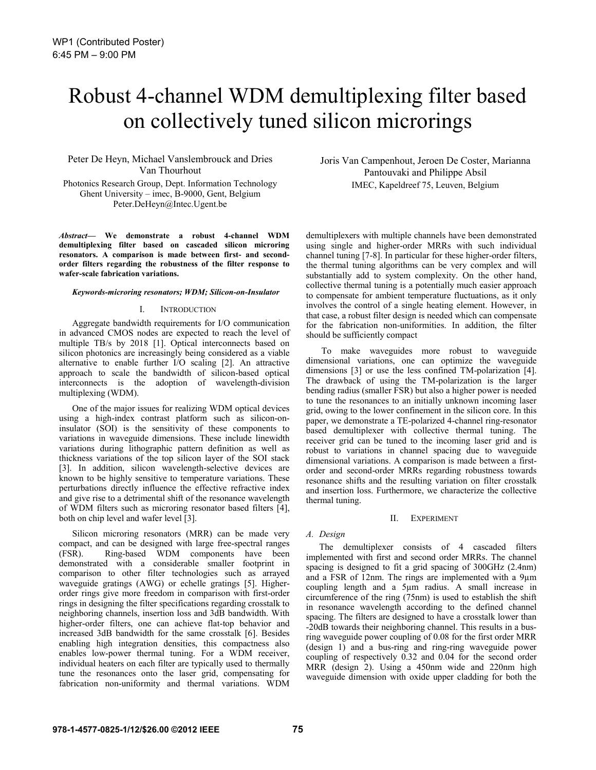# Robust 4-channel WDM demultiplexing filter based on collectively tuned silicon microrings

Peter De Heyn, Michael Vanslembrouck and Dries Van Thourhout Photonics Research Group, Dept. Information Technology Ghent University – imec, B-9000, Gent, Belgium Peter.DeHeyn@Intec.Ugent.be

*Abstract***— We demonstrate a robust 4-channel WDM demultiplexing filter based on cascaded silicon microring resonators. A comparison is made between first- and secondorder filters regarding the robustness of the filter response to wafer-scale fabrication variations.** 

#### *Keywords-microring resonators; WDM; Silicon-on-Insulator*

#### I. INTRODUCTION

Aggregate bandwidth requirements for I/O communication in advanced CMOS nodes are expected to reach the level of multiple TB/s by 2018 [1]. Optical interconnects based on silicon photonics are increasingly being considered as a viable alternative to enable further I/O scaling [2]. An attractive approach to scale the bandwidth of silicon-based optical interconnects is the adoption of wavelength-division multiplexing (WDM).

One of the major issues for realizing WDM optical devices using a high-index contrast platform such as silicon-oninsulator (SOI) is the sensitivity of these components to variations in waveguide dimensions. These include linewidth variations during lithographic pattern definition as well as thickness variations of the top silicon layer of the SOI stack [3]. In addition, silicon wavelength-selective devices are known to be highly sensitive to temperature variations. These perturbations directly influence the effective refractive index and give rise to a detrimental shift of the resonance wavelength of WDM filters such as microring resonator based filters [4], both on chip level and wafer level [3].

Silicon microring resonators (MRR) can be made very compact, and can be designed with large free-spectral ranges (FSR). Ring-based WDM components have been demonstrated with a considerable smaller footprint in comparison to other filter technologies such as arrayed waveguide gratings (AWG) or echelle gratings [5]. Higherorder rings give more freedom in comparison with first-order rings in designing the filter specifications regarding crosstalk to neighboring channels, insertion loss and 3dB bandwidth. With higher-order filters, one can achieve flat-top behavior and increased 3dB bandwidth for the same crosstalk [6]. Besides enabling high integration densities, this compactness also enables low-power thermal tuning. For a WDM receiver, individual heaters on each filter are typically used to thermally tune the resonances onto the laser grid, compensating for fabrication non-uniformity and thermal variations. WDM Joris Van Campenhout, Jeroen De Coster, Marianna Pantouvaki and Philippe Absil IMEC, Kapeldreef 75, Leuven, Belgium

demultiplexers with multiple channels have been demonstrated using single and higher-order MRRs with such individual channel tuning [7-8]. In particular for these higher-order filters, the thermal tuning algorithms can be very complex and will substantially add to system complexity. On the other hand, collective thermal tuning is a potentially much easier approach to compensate for ambient temperature fluctuations, as it only involves the control of a single heating element. However, in that case, a robust filter design is needed which can compensate for the fabrication non-uniformities. In addition, the filter should be sufficiently compact

 To make waveguides more robust to waveguide dimensional variations, one can optimize the waveguide dimensions [3] or use the less confined TM-polarization [4]. The drawback of using the TM-polarization is the larger bending radius (smaller FSR) but also a higher power is needed to tune the resonances to an initially unknown incoming laser grid, owing to the lower confinement in the silicon core. In this paper, we demonstrate a TE-polarized 4-channel ring-resonator based demultiplexer with collective thermal tuning. The receiver grid can be tuned to the incoming laser grid and is robust to variations in channel spacing due to waveguide dimensional variations. A comparison is made between a firstorder and second-order MRRs regarding robustness towards resonance shifts and the resulting variation on filter crosstalk and insertion loss. Furthermore, we characterize the collective thermal tuning.

#### II. EXPERIMENT

## *A. Design*

The demultiplexer consists of 4 cascaded filters implemented with first and second order MRRs. The channel spacing is designed to fit a grid spacing of 300GHz (2.4nm) and a FSR of 12nm. The rings are implemented with a 9µm coupling length and a 5µm radius. A small increase in circumference of the ring (75nm) is used to establish the shift in resonance wavelength according to the defined channel spacing. The filters are designed to have a crosstalk lower than -20dB towards their neighboring channel. This results in a busring waveguide power coupling of 0.08 for the first order MRR (design 1) and a bus-ring and ring-ring waveguide power coupling of respectively 0.32 and 0.04 for the second order MRR (design 2). Using a 450nm wide and 220nm high waveguide dimension with oxide upper cladding for both the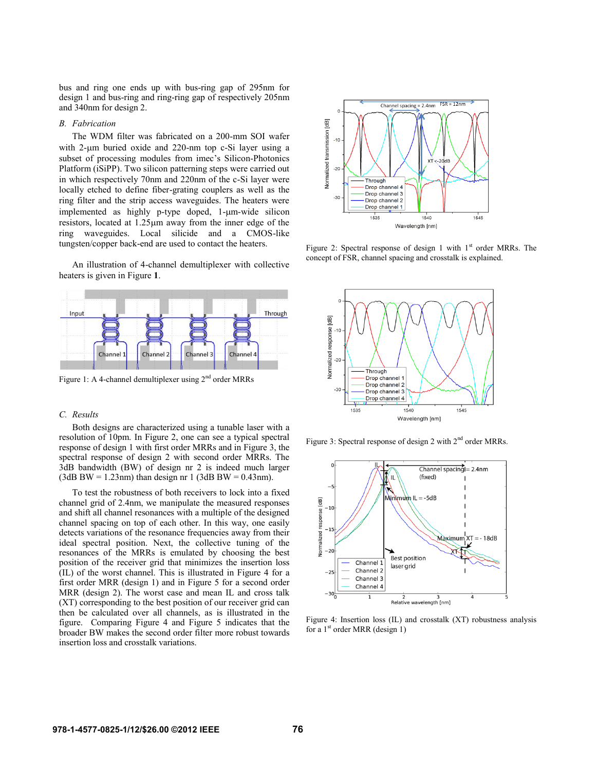bus and ring one ends up with bus-ring gap of 295nm for design 1 and bus-ring and ring-ring gap of respectively 205nm and 340nm for design 2.

## *B. Fabrication*

The WDM filter was fabricated on a 200-mm SOI wafer with  $2\text{-}\mu\text{m}$  buried oxide and  $220\text{-}\text{nm}$  top c-Si layer using a subset of processing modules from imec's Silicon-Photonics Platform (iSiPP). Two silicon patterning steps were carried out in which respectively 70nm and 220nm of the c-Si layer were locally etched to define fiber-grating couplers as well as the ring filter and the strip access waveguides. The heaters were implemented as highly p-type doped, 1-µm-wide silicon resistors, located at  $1.25 \mu m$  away from the inner edge of the ring waveguides. Local silicide and a CMOS-like tungsten/copper back-end are used to contact the heaters.

An illustration of 4-channel demultiplexer with collective heaters is given in Figure **1**.



Figure 1: A 4-channel demultiplexer using 2<sup>nd</sup> order MRRs

## *C. Results*

Both designs are characterized using a tunable laser with a resolution of 10pm. In Figure 2, one can see a typical spectral response of design 1 with first order MRRs and in Figure 3, the spectral response of design 2 with second order MRRs. The 3dB bandwidth (BW) of design nr 2 is indeed much larger  $(3dB BW = 1.23nm)$  than design nr 1  $(3dB BW = 0.43nm)$ .

To test the robustness of both receivers to lock into a fixed channel grid of 2.4nm, we manipulate the measured responses and shift all channel resonances with a multiple of the designed channel spacing on top of each other. In this way, one easily detects variations of the resonance frequencies away from their ideal spectral position. Next, the collective tuning of the resonances of the MRRs is emulated by choosing the best position of the receiver grid that minimizes the insertion loss (IL) of the worst channel. This is illustrated in Figure 4 for a first order MRR (design 1) and in Figure 5 for a second order MRR (design 2). The worst case and mean IL and cross talk (XT) corresponding to the best position of our receiver grid can then be calculated over all channels, as is illustrated in the figure. Comparing Figure 4 and Figure 5 indicates that the broader BW makes the second order filter more robust towards insertion loss and crosstalk variations.



Figure 2: Spectral response of design 1 with  $1<sup>st</sup>$  order MRRs. The concept of FSR, channel spacing and crosstalk is explained.



Figure 3: Spectral response of design 2 with 2<sup>nd</sup> order MRRs.



Figure 4: Insertion loss (IL) and crosstalk (XT) robustness analysis for a  $1<sup>st</sup>$  order MRR (design 1)